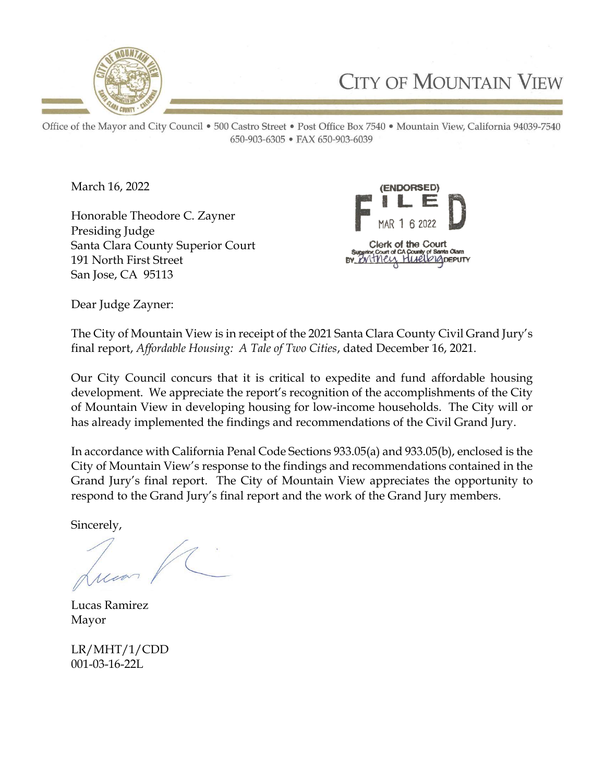

**CITY OF MOUNTAIN VIEW** 

Office of the Mayor and City Council . 500 Castro Street . Post Office Box 7540 . Mountain View, California 94039-7540 650-903-6305 • FAX 650-903-6039

March 16, 2022

Honorable Theodore C. Zayner Presiding Judge Santa Clara County Superior Court 191 North First Street San Jose, CA 95113



Dear Judge Zayner:

The City of Mountain View is in receipt of the 2021 Santa Clara County Civil Grand Jury's final report, Affordable Housing: A Tale of Two Cities, dated December 16, 2021.

Our City Council concurs that it is critical to expedite and fund affordable housing development. We appreciate the report's recognition of the accomplishments of the City of Mountain View in developing housing for low-income households. The City will or has already implemented the findings and recommendations of the Civil Grand Jury.

In accordance with California Penal Code Sections 933.05(a) and 933.05(b), enclosed is the City of Mountain View's response to the findings and recommendations contained in the Grand Jury's final report. The City of Mountain View appreciates the opportunity to respond to the Grand Jury's final report and the work of the Grand Jury members.

Sincerely,

Lucas Ramirez Mayor

LR/MHT/1/CDD 001-03-16-22L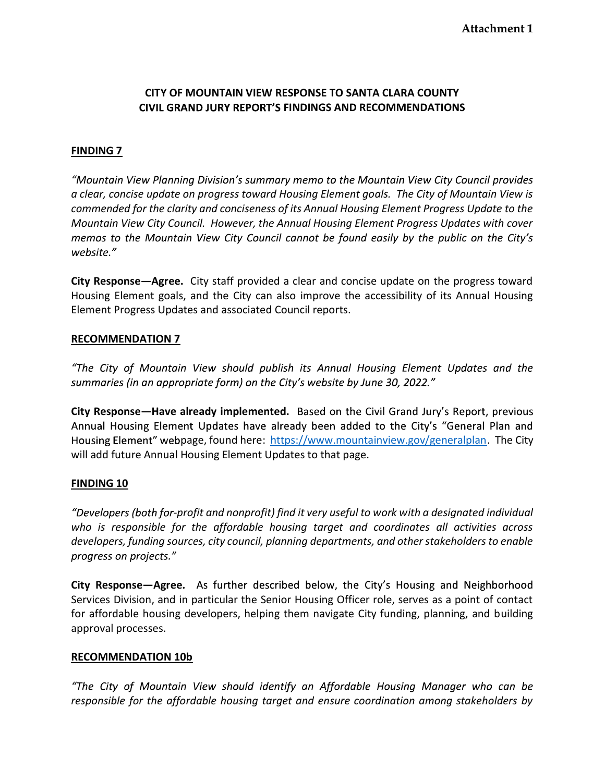## CITY OF MOUNTAIN VIEW RESPONSE TO SANTA CLARA COUNTY CIVIL GRAND JURY REPORT'S FINDINGS AND RECOMMENDATIONS

### FINDING 7

"Mountain View Planning Division's summary memo to the Mountain View City Council provides a clear, concise update on progress toward Housing Element goals. The City of Mountain View is commended for the clarity and conciseness of its Annual Housing Element Progress Update to the Mountain View City Council. However, the Annual Housing Element Progress Updates with cover memos to the Mountain View City Council cannot be found easily by the public on the City's website."

City Response—Agree. City staff provided a clear and concise update on the progress toward Housing Element goals, and the City can also improve the accessibility of its Annual Housing Element Progress Updates and associated Council reports.

#### RECOMMENDATION 7

"The City of Mountain View should publish its Annual Housing Element Updates and the summaries (in an appropriate form) on the City's website by June 30, 2022."

City Response—Have already implemented. Based on the Civil Grand Jury's Report, previous Annual Housing Element Updates have already been added to the City's "General Plan and Housing Element" webpage, found here: https://www.mountainview.gov/generalplan. The City will add future Annual Housing Element Updates to that page.

## FINDING 10

"Developers (both for-profit and nonprofit) find it very useful to work with a designated individual who is responsible for the affordable housing target and coordinates all activities across developers, funding sources, city council, planning departments, and other stakeholders to enable progress on projects."

City Response—Agree. As further described below, the City's Housing and Neighborhood Services Division, and in particular the Senior Housing Officer role, serves as a point of contact for affordable housing developers, helping them navigate City funding, planning, and building approval processes.

#### RECOMMENDATION 10b

"The City of Mountain View should identify an Affordable Housing Manager who can be responsible for the affordable housing target and ensure coordination among stakeholders by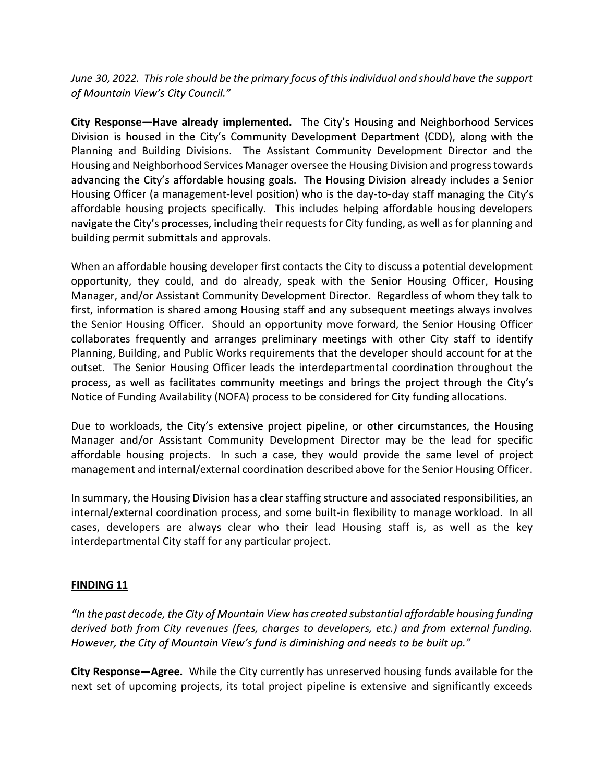June 30, 2022. This role should be the primary focus of this individual and should have the support of Mountain View's City Council."

City Response—Have already implemented. The City's Housing and Neighborhood Services Division is housed in the City's Community Development Department (CDD), along with the Planning and Building Divisions. The Assistant Community Development Director and the Housing and Neighborhood Services Manager oversee the Housing Division and progress towards advancing the City's affordable housing goals. The Housing Division already includes a Senior Housing Officer (a management-level position) who is the day-to-day staff managing the City's affordable housing projects specifically. This includes helping affordable housing developers navigate the City's processes, including their requests for City funding, as well as for planning and building permit submittals and approvals.

When an affordable housing developer first contacts the City to discuss a potential development opportunity, they could, and do already, speak with the Senior Housing Officer, Housing Manager, and/or Assistant Community Development Director. Regardless of whom they talk to first, information is shared among Housing staff and any subsequent meetings always involves the Senior Housing Officer. Should an opportunity move forward, the Senior Housing Officer collaborates frequently and arranges preliminary meetings with other City staff to identify Planning, Building, and Public Works requirements that the developer should account for at the outset. The Senior Housing Officer leads the interdepartmental coordination throughout the process, as well as facilitates community meetings and brings the project through the City's Notice of Funding Availability (NOFA) process to be considered for City funding allocations.

Due to workloads, the City's extensive project pipeline, or other circumstances, the Housing Manager and/or Assistant Community Development Director may be the lead for specific affordable housing projects. In such a case, they would provide the same level of project management and internal/external coordination described above for the Senior Housing Officer.

In summary, the Housing Division has a clear staffing structure and associated responsibilities, an internal/external coordination process, and some built-in flexibility to manage workload. In all cases, developers are always clear who their lead Housing staff is, as well as the key interdepartmental City staff for any particular project.

## FINDING 11

"In the past decade, the City of Mountain View has created substantial affordable housing funding derived both from City revenues (fees, charges to developers, etc.) and from external funding. However, the City of Mountain View's fund is diminishing and needs to be built up."

City Response—Agree. While the City currently has unreserved housing funds available for the next set of upcoming projects, its total project pipeline is extensive and significantly exceeds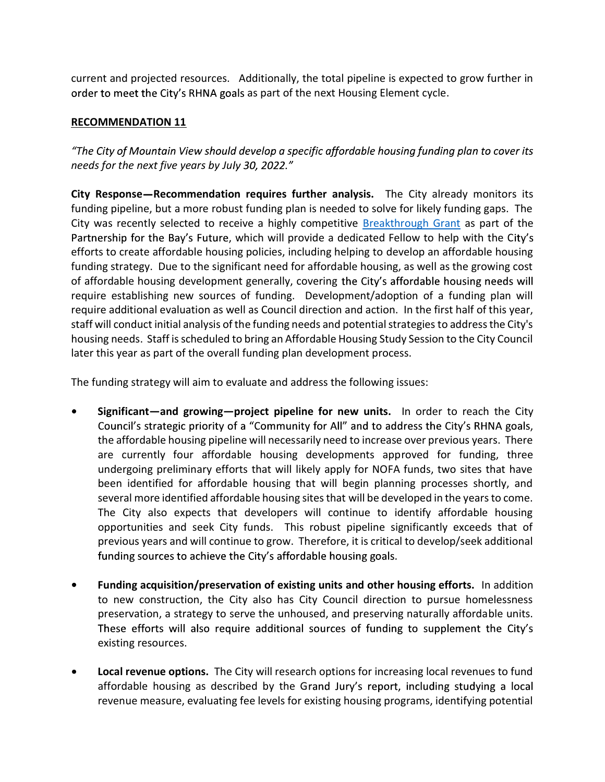current and projected resources. Additionally, the total pipeline is expected to grow further in order to meet the City's RHNA goals as part of the next Housing Element cycle.

# RECOMMENDATION 11

"The City of Mountain View should develop a specific affordable housing funding plan to cover its needs for the next five years by July 30, 2022."

City Response—Recommendation requires further analysis. The City already monitors its funding pipeline, but a more robust funding plan is needed to solve for likely funding gaps. The City was recently selected to receive a highly competitive Breakthrough Grant as part of the Partnership for the Bay's Future, which will provide a dedicated Fellow to help with the City's efforts to create affordable housing policies, including helping to develop an affordable housing funding strategy. Due to the significant need for affordable housing, as well as the growing cost of affordable housing development generally, covering require establishing new sources of funding. Development/adoption of a funding plan will require additional evaluation as well as Council direction and action. In the first half of this year, staff will conduct initial analysis of the funding needs and potential strategies to address the City's housing needs. Staff is scheduled to bring an Affordable Housing Study Session to the City Council later this year as part of the overall funding plan development process.

The funding strategy will aim to evaluate and address the following issues:

- Significant—and growing—project pipeline for new units. In order to reach the City Council's strategic priority of a "Community for All" and to address the City's RHNA goals, the affordable housing pipeline will necessarily need to increase over previous years. There are currently four affordable housing developments approved for funding, three undergoing preliminary efforts that will likely apply for NOFA funds, two sites that have been identified for affordable housing that will begin planning processes shortly, and several more identified affordable housing sites that will be developed in the years to come. The City also expects that developers will continue to identify affordable housing opportunities and seek City funds. This robust pipeline significantly exceeds that of previous years and will continue to grow. Therefore, it is critical to develop/seek additional funding sources to achieve the City's affordable housing goals.
- Funding acquisition/preservation of existing units and other housing efforts. In addition to new construction, the City also has City Council direction to pursue homelessness preservation, a strategy to serve the unhoused, and preserving naturally affordable units. These efforts will also require additional sources of funding to supplement the City's existing resources.
- Local revenue options. The City will research options for increasing local revenues to fund affordable housing as described by the Grand Jury's report, including studying a local revenue measure, evaluating fee levels for existing housing programs, identifying potential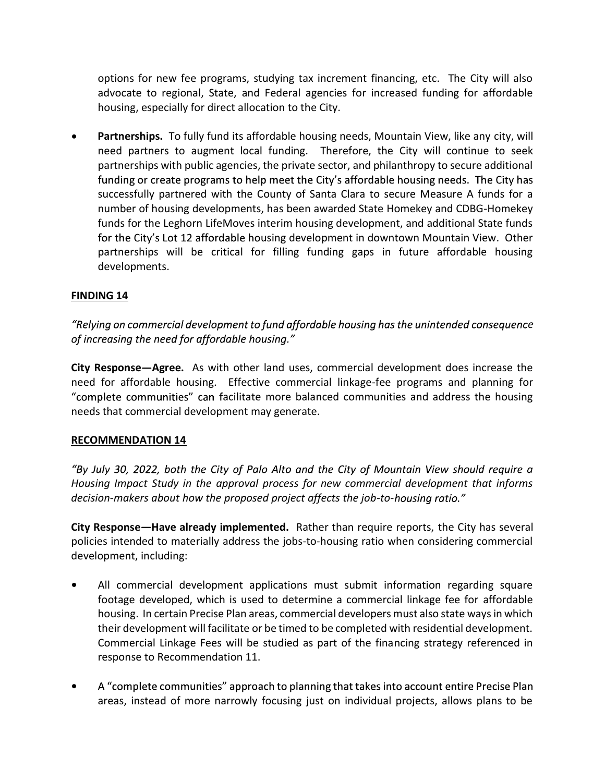options for new fee programs, studying tax increment financing, etc. The City will also advocate to regional, State, and Federal agencies for increased funding for affordable housing, especially for direct allocation to the City.

• Partnerships. To fully fund its affordable housing needs, Mountain View, like any city, will need partners to augment local funding. Therefore, the City will continue to seek partnerships with public agencies, the private sector, and philanthropy to secure additional funding or create programs to help meet the City's affordable housing needs. The City has successfully partnered with the County of Santa Clara to secure Measure A funds for a number of housing developments, has been awarded State Homekey and CDBG-Homekey funds for the Leghorn LifeMoves interim housing development, and additional State funds for the City's Lot 12 affordable housing development in downtown Mountain View. Other partnerships will be critical for filling funding gaps in future affordable housing developments.

## FINDING 14

"Relying on commercial development to fund affordable housing has the unintended consequence of increasing the need for affordable housing."

City Response - Agree. As with other land uses, commercial development does increase the need for affordable housing. Effective commercial linkage-fee programs and planning for "complete communities" can facilitate more balanced communities and address the housing needs that commercial development may generate.

## RECOMMENDATION 14

"By July 30, 2022, both the City of Palo Alto and the City of Mountain View should require a Housing Impact Study in the approval process for new commercial development that informs decision-makers about how the proposed project affects the job-to-housing ratio."

City Response—Have already implemented. Rather than require reports, the City has several policies intended to materially address the jobs-to-housing ratio when considering commercial development, including:

- $\bullet$ All commercial development applications must submit information regarding square footage developed, which is used to determine a commercial linkage fee for affordable housing. In certain Precise Plan areas, commercial developers must also state ways in which their development will facilitate or be timed to be completed with residential development. Commercial Linkage Fees will be studied as part of the financing strategy referenced in response to Recommendation 11.
- A "complete communities" approach to planning that takes into account entire Precise Plan  $\bullet$ areas, instead of more narrowly focusing just on individual projects, allows plans to be